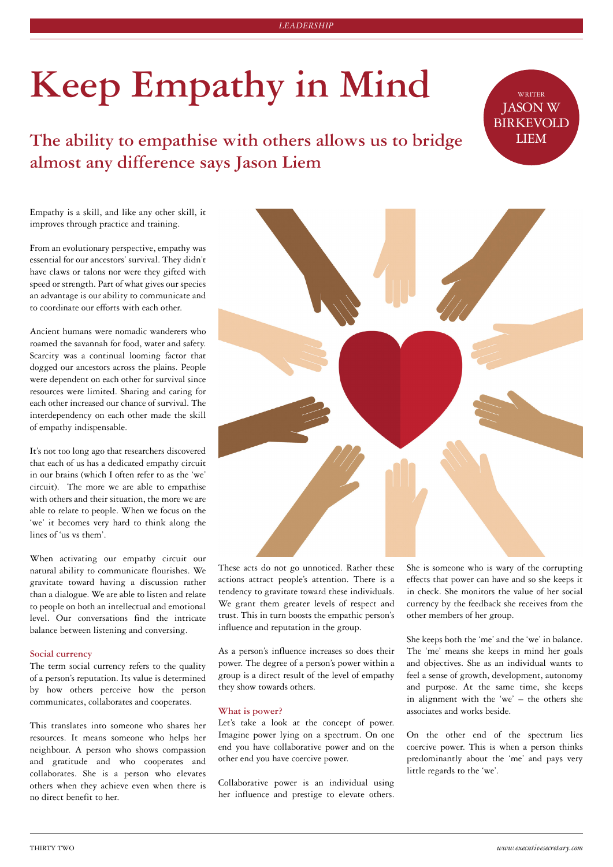# **Keep Empathy in Mind**

**The ability to empathise with others allows us to bridge LIEM almost any difference says Jason Liem**

Empathy is a skill, and like any other skill, it improves through practice and training.

From an evolutionary perspective, empathy was essential for our ancestors' survival. They didn't have claws or talons nor were they gifted with speed or strength. Part of what gives our species an advantage is our ability to communicate and to coordinate our efforts with each other.

Ancient humans were nomadic wanderers who roamed the savannah for food, water and safety. Scarcity was a continual looming factor that dogged our ancestors across the plains. People were dependent on each other for survival since resources were limited. Sharing and caring for each other increased our chance of survival. The interdependency on each other made the skill of empathy indispensable.

It's not too long ago that researchers discovered that each of us has a dedicated empathy circuit in our brains (which I often refer to as the 'we' circuit). The more we are able to empathise with others and their situation, the more we are able to relate to people. When we focus on the 'we' it becomes very hard to think along the lines of 'us vs them'.

When activating our empathy circuit our natural ability to communicate flourishes. We gravitate toward having a discussion rather than a dialogue. We are able to listen and relate to people on both an intellectual and emotional level. Our conversations find the intricate balance between listening and conversing.

# **Social currency**

The term social currency refers to the quality of a person's reputation. Its value is determined by how others perceive how the person communicates, collaborates and cooperates.

This translates into someone who shares her resources. It means someone who helps her neighbour. A person who shows compassion and gratitude and who cooperates and collaborates. She is a person who elevates others when they achieve even when there is no direct benefit to her.



These acts do not go unnoticed. Rather these actions attract people's attention. There is a tendency to gravitate toward these individuals. We grant them greater levels of respect and trust. This in turn boosts the empathic person's influence and reputation in the group.

As a person's influence increases so does their power. The degree of a person's power within a group is a direct result of the level of empathy they show towards others.

### **What is power?**

Let's take a look at the concept of power. Imagine power lying on a spectrum. On one end you have collaborative power and on the other end you have coercive power.

Collaborative power is an individual using her influence and prestige to elevate others. She is someone who is wary of the corrupting effects that power can have and so she keeps it in check. She monitors the value of her social currency by the feedback she receives from the other members of her group.

JASON W BIRKEVOLD

She keeps both the 'me' and the 'we' in balance. The 'me' means she keeps in mind her goals and objectives. She as an individual wants to feel a sense of growth, development, autonomy and purpose. At the same time, she keeps in alignment with the 'we' – the others she associates and works beside.

On the other end of the spectrum lies coercive power. This is when a person thinks predominantly about the 'me' and pays very little regards to the 'we'.